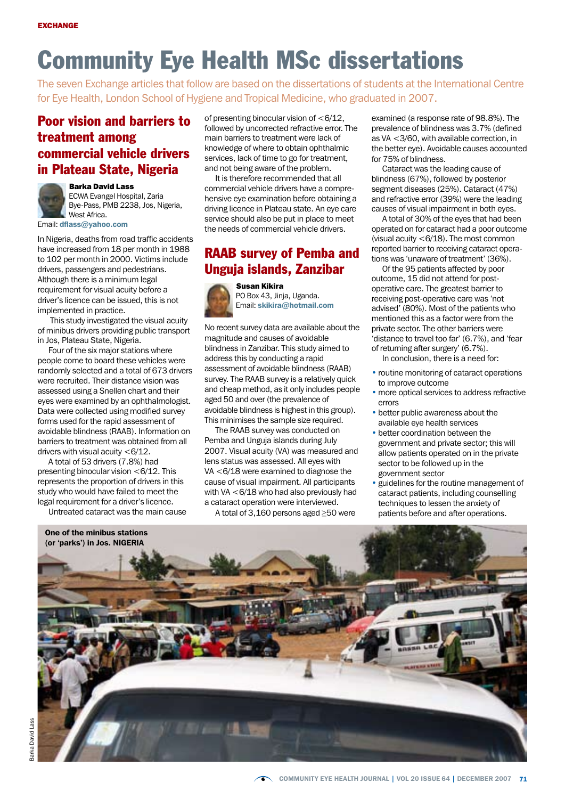# Community Eye Health MSc dissertations

The seven Exchange articles that follow are based on the dissertations of students at the International Centre for Eye Health, London School of Hygiene and Tropical Medicine, who graduated in 2007.

### Poor vision and barriers to treatment among commercial vehicle drivers in Plateau State, Nigeria



Barka David Lass

ECWA Evangel Hospital, Zaria Bye-Pass, PMB 2238, Jos, Nigeria, West Africa.

Email: dflass@yahoo.com

In Nigeria, deaths from road traffic accidents have increased from 18 per month in 1988 to 102 per month in 2000. Victims include drivers, passengers and pedestrians. Although there is a minimum legal requirement for visual acuity before a driver's licence can be issued, this is not implemented in practice.

 This study investigated the visual acuity of minibus drivers providing public transport in Jos, Plateau State, Nigeria.

Four of the six major stations where people come to board these vehicles were randomly selected and a total of 673 drivers were recruited. Their distance vision was assessed using a Snellen chart and their eyes were examined by an ophthalmologist. Data were collected using modified survey forms used for the rapid assessment of avoidable blindness (RAAB). Information on barriers to treatment was obtained from all drivers with visual acuity <6/12.

A total of 53 drivers (7.8%) had presenting binocular vision  $<\frac{6}{12}$ . This represents the proportion of drivers in this study who would have failed to meet the legal requirement for a driver's licence.

Untreated cataract was the main cause

of presenting binocular vision of  $<\frac{6}{12}$ , followed by uncorrected refractive error. The main barriers to treatment were lack of knowledge of where to obtain ophthalmic services, lack of time to go for treatment, and not being aware of the problem.

It is therefore recommended that all commercial vehicle drivers have a comprehensive eye examination before obtaining a driving licence in Plateau state. An eye care service should also be put in place to meet the needs of commercial vehicle drivers.

### RAAB survey of Pemba and Unguja islands, Zanzibar



Susan Kikira PO Box 43, Jinja, Uganda. Email: skikira@hotmail.com

No recent survey data are available about the magnitude and causes of avoidable blindness in Zanzibar. This study aimed to address this by conducting a rapid assessment of avoidable blindness (RAAB) survey. The RAAB survey is a relatively quick and cheap method, as it only includes people aged 50 and over (the prevalence of avoidable blindness is highest in this group). This minimises the sample size required.

The RAAB survey was conducted on Pemba and Unguja islands during July 2007. Visual acuity (VA) was measured and lens status was assessed. All eyes with VA <6/18 were examined to diagnose the cause of visual impairment. All participants with VA <6/18 who had also previously had a cataract operation were interviewed.

A total of 3,160 persons aged ≥50 were

examined (a response rate of 98.8%). The prevalence of blindness was 3.7% (defined as VA <3/60, with available correction, in the better eye). Avoidable causes accounted for 75% of blindness.

Cataract was the leading cause of blindness (67%), followed by posterior segment diseases (25%). Cataract (47%) and refractive error (39%) were the leading causes of visual impairment in both eyes.

A total of 30% of the eyes that had been operated on for cataract had a poor outcome (visual acuity <6/18). The most common reported barrier to receiving cataract operations was 'unaware of treatment' (36%).

Of the 95 patients affected by poor outcome, 15 did not attend for postoperative care. The greatest barrier to receiving post-operative care was 'not advised' (80%). Most of the patients who mentioned this as a factor were from the private sector. The other barriers were 'distance to travel too far' (6.7%), and 'fear of returning after surgery' (6.7%).

In conclusion, there is a need for:

- routine monitoring of cataract operations to improve outcome
- more optical services to address refractive errors
- better public awareness about the available eye health services
- better coordination between the government and private sector; this will allow patients operated on in the private sector to be followed up in the government sector
- guidelines for the routine management of cataract patients, including counselling techniques to lessen the anxiety of patients before and after operations.

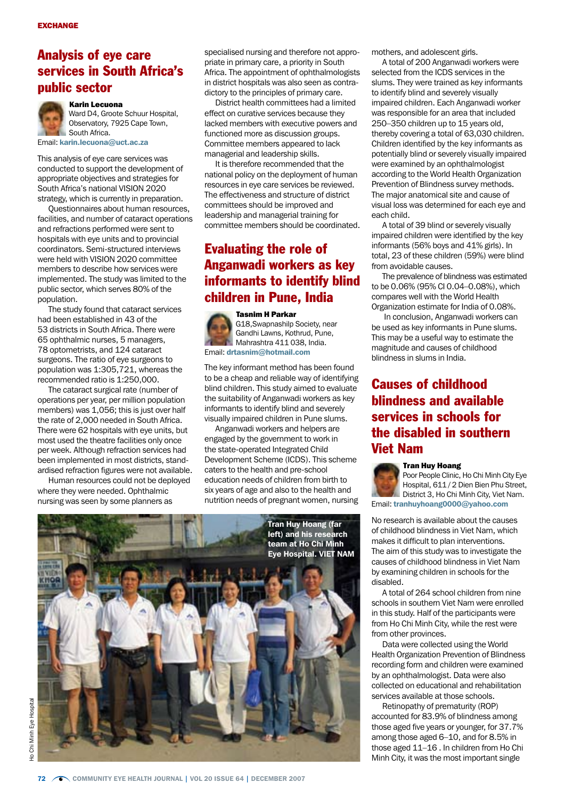### Analysis of eye care services in South Africa's public sector



Ward D4, Groote Schuur Hospital, Observatory, 7925 Cape Town, South Africa.

Email: karin.lecuona@uct.ac.za

This analysis of eye care services was conducted to support the development of appropriate objectives and strategies for South Africa's national VISION 2020 strategy, which is currently in preparation.

Questionnaires about human resources, facilities, and number of cataract operations and refractions performed were sent to hospitals with eye units and to provincial coordinators. Semi-structured interviews were held with VISION 2020 committee members to describe how services were implemented. The study was limited to the public sector, which serves 80% of the population.

The study found that cataract services had been established in 43 of the 53 districts in South Africa. There were 65 ophthalmic nurses, 5 managers, 78 optometrists, and 124 cataract surgeons. The ratio of eye surgeons to population was 1:305,721, whereas the recommended ratio is 1:250,000.

The cataract surgical rate (number of operations per year, per million population members) was 1,056; this is just over half the rate of 2,000 needed in South Africa. There were 62 hospitals with eye units, but most used the theatre facilities only once per week. Although refraction services had been implemented in most districts, standardised refraction figures were not available.

Human resources could not be deployed where they were needed. Ophthalmic nursing was seen by some planners as

specialised nursing and therefore not appropriate in primary care, a priority in South Africa. The appointment of ophthalmologists in district hospitals was also seen as contradictory to the principles of primary care.

District health committees had a limited effect on curative services because they lacked members with executive powers and functioned more as discussion groups. Committee members appeared to lack managerial and leadership skills.

It is therefore recommended that the national policy on the deployment of human resources in eye care services be reviewed. The effectiveness and structure of district committees should be improved and leadership and managerial training for committee members should be coordinated.

# Evaluating the role of Anganwadi workers as key informants to identify blind children in Pune, India

Tasnim H Parkar G18,Swapnashilp Society, near Gandhi Lawns, Kothrud, Pune, Mahrashtra 411 038, India. Email: drtasnim@hotmail.com

The key informant method has been found to be a cheap and reliable way of identifying blind children. This study aimed to evaluate the suitability of Anganwadi workers as key informants to identify blind and severely visually impaired children in Pune slums.

Anganwadi workers and helpers are engaged by the government to work in the state-operated Integrated Child Development Scheme (ICDS). This scheme caters to the health and pre-school education needs of children from birth to six years of age and also to the health and nutrition needs of pregnant women, nursing



mothers, and adolescent girls.

A total of 200 Anganwadi workers were selected from the ICDS services in the slums. They were trained as key informants to identify blind and severely visually impaired children. Each Anganwadi worker was responsible for an area that included 250–350 children up to 15 years old, thereby covering a total of 63,030 children. Children identified by the key informants as potentially blind or severely visually impaired were examined by an ophthalmologist according to the World Health Organization Prevention of Blindness survey methods. The major anatomical site and cause of visual loss was determined for each eye and each child.

A total of 39 blind or severely visually impaired children were identified by the key informants (56% boys and 41% girls). In total, 23 of these children (59%) were blind from avoidable causes.

The prevalence of blindness was estimated to be 0.06% (95% CI 0.04–0.08%), which compares well with the World Health Organization estimate for India of 0.08%.

 In conclusion, Anganwadi workers can be used as key informants in Pune slums. This may be a useful way to estimate the magnitude and causes of childhood blindness in slums in India.

# Causes of childhood blindness and available services in schools for the disabled in southern Viet Nam

#### Tran Huy Hoang

disabled.

Poor People Clinic, Ho Chi Minh City Eye Hospital, 611 / 2 Dien Bien Phu Street, District 3, Ho Chi Minh City, Viet Nam. Email: tranhuyhoang0000@yahoo.com

No research is available about the causes of childhood blindness in Viet Nam, which makes it difficult to plan interventions. The aim of this study was to investigate the causes of childhood blindness in Viet Nam by examining children in schools for the

A total of 264 school children from nine schools in southern Viet Nam were enrolled in this study. Half of the participants were from Ho Chi Minh City, while the rest were from other provinces.

Data were collected using the World Health Organization Prevention of Blindness recording form and children were examined by an ophthalmologist. Data were also collected on educational and rehabilitation services available at those schools.

Retinopathy of prematurity (ROP) accounted for 83.9% of blindness among those aged five years or younger, for 37.7% among those aged 6–10, and for 8.5% in those aged 11–16 . In children from Ho Chi Minh City, it was the most important single